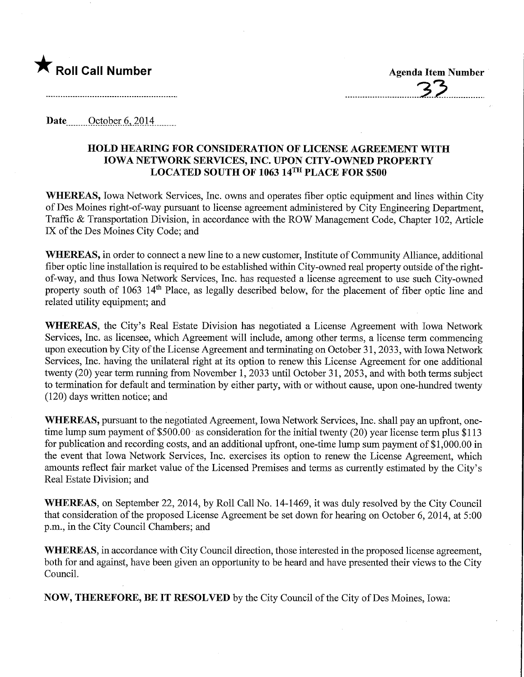

Date ........October^ 2014,

## HOLD HEARING FOR CONSIDERATION OF LICENSE AGREEMENT WITH IOWA NETWORK SERVICES, INC. UPON CITY-OWNED PROPERTY LOCATED SOUTH OF 1063 14TH PLACE FOR \$500

WHEREAS, Iowa Network Services, Inc. owns and operates fiber optic equipment and lines within City of Des Moines right-of-way pursuant to license agreement administered by City Engineering Department, Traffic & Transportation Division, in accordance with the ROW Management Code, Chapter 102, Article IX of the Des Moines City Code; and

WHEREAS, in order to connect a new line to a new customer. Institute of Community Alliance, additional fiber optic line installation is required to be established within City-owned real property outside of the rightof-way, and thus Iowa Network Services, Inc. has requested a license agreement to use such City-owned property south of 1063 14<sup>th</sup> Place, as legally described below, for the placement of fiber optic line and related utility equipment; and

WHEREAS, the City's Real Estate Division has negotiated a License Agreement with Iowa Network Services, Inc. as licensee, which Agreement will include, among other terms, a license term commencing upon execution by City of the License Agreement and terminating on October 31,2033, with Iowa Network Services, Inc. having the unilateral right at its option to renew this License Agreement for one additional twenty (20) year term running from November 1, 2033 until October 31, 2053, and with both terms subject to termination for default and termination by either party, with or without cause, upon one-hundred twenty (120) days written notice; and

WHEREAS, pursuant to the negotiated Agreement, Iowa Network Services, Inc. shall pay an upfront, onetime lump sum payment of \$500.00 as consideration for the initial twenty (20) year license term plus \$113 for publication and recording costs, and an additional upfront, one-time lump sum payment of \$1,000.00 in the event that Iowa Network Services, Inc. exercises its option to renew the License Agreement, which amounts reflect fair market value of the Licensed Premises and terms as currently estimated by the City's Real Estate Division; and

WHEREAS, on September 22, 2014, by Roll Call No. 14-1469, it was duly resolved by the City Council that consideration of the proposed License Agreement be set down for hearing on October 6, 2014, at 5:00 p.m., in the City Council Chambers; and

WHEREAS, in accordance with City Council direction, those interested in the proposed license agreement, both for and against, have been given an opportunity to be heard and have presented their views to the City Council.

NOW, THEREFORE, BE IT RESOLVED by the City Council of the City of Des Moines, Iowa: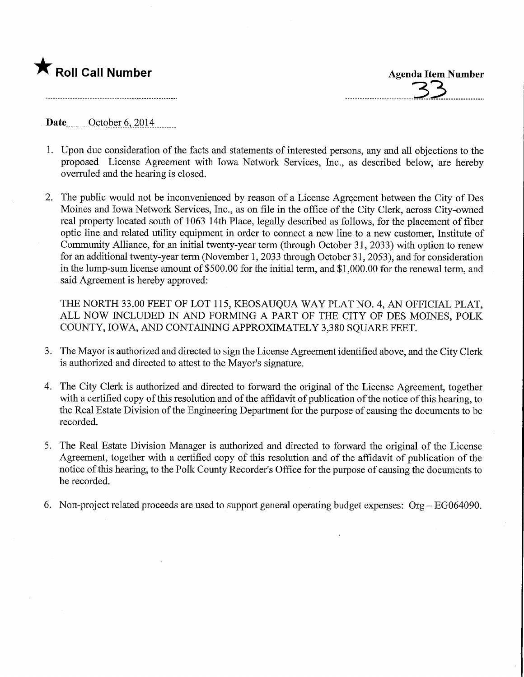

Date ........October 6,2014,

- 1. Upon due consideration of the facts and statements of interested persons, any and all objections to the proposed License Agreement with Iowa Network Services, Inc., as described below, are hereby overruled and the hearing is closed.
- 2. The public would not be inconvenienced by reason of a License Agreement between the City of Des Moines and Iowa Network Services, Inc., as on file in the office of the City Clerk, across City-owned real property located south of 1063 14th Place, legally described as follows, for the placement of fiber optic line and related utility equipment in order to connect a new line to a new customer. Institute of Community Alliance, for an initial twenty-year term (through October 31, 2033) with option to renew for an additional twenty-year term (November 1, 2033 through October 31,2053), and for consideration in the lump-sum license amount of \$500.00 for the initial term, and \$1,000.00 for the renewal term, and said Agreement is hereby approved:

THE NORTH 33.00 FEET OF LOT 115, KEOSAUQUA WAY PLAT NO. 4, AN OFFICIAL PLAT, ALL NOW INCLUDED IN AND FORMING A PART OF THE CITY OF DES MOINES, POLK COUNTY, IOWA, AND CONTAINING APPROXIMATELY 3,380 SQUARE FEET.

- 3. The Mayor is authorized and directed to sign the License Agreement identified above, and the City Clerk is authorized and directed to attest to the Mayor's signature.
- 4. The City Clerk is authorized and directed to forward the original of the License Agreement, together with a certified copy of this resolution and of the affidavit of publication of the notice of this hearing, to the Real Estate Division of the Engineering Department for the purpose of causing the documents to be recorded.
- 5. The Real Estate Division Manager is authorized and directed to forward the original of the License Agreement, together with a certified copy of this resolution and of the affidavit of publication of the notice of this hearing, to the Polk County Recorder's Office for the purpose of causing the documents to be recorded.
- 6. Non-project related proceeds are used to support general operating budget expenses: Org EG064090.